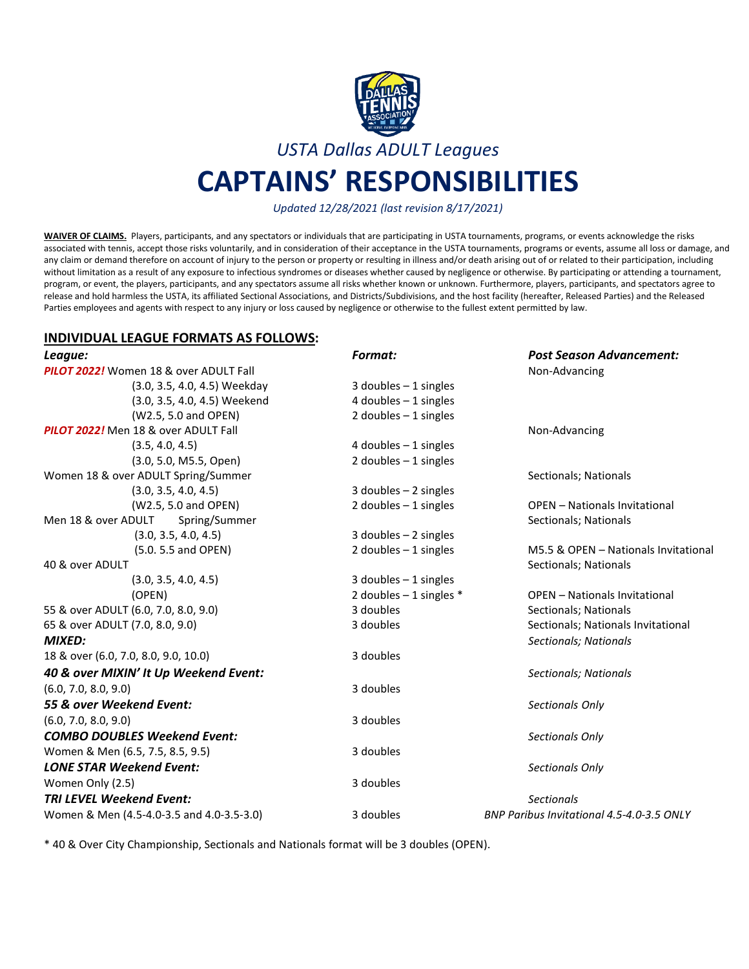

*USTA Dallas ADULT Leagues*

# **CAPTAINS' RESPONSIBILITIES**

*Updated 12/28/2021 (last revision 8/17/2021)*

**WAIVER OF CLAIMS.** Players, participants, and any spectators or individuals that are participating in USTA tournaments, programs, or events acknowledge the risks associated with tennis, accept those risks voluntarily, and in consideration of their acceptance in the USTA tournaments, programs or events, assume all loss or damage, and any claim or demand therefore on account of injury to the person or property or resulting in illness and/or death arising out of or related to their participation, including without limitation as a result of any exposure to infectious syndromes or diseases whether caused by negligence or otherwise. By participating or attending a tournament, program, or event, the players, participants, and any spectators assume all risks whether known or unknown. Furthermore, players, participants, and spectators agree to release and hold harmless the USTA, its affiliated Sectional Associations, and Districts/Subdivisions, and the host facility (hereafter, Released Parties) and the Released Parties employees and agents with respect to any injury or loss caused by negligence or otherwise to the fullest extent permitted by law.

#### **INDIVIDUAL LEAGUE FORMATS AS FOLLOWS:**

| League:                                   | Format:                    | <b>Post Season Advancement:</b>           |
|-------------------------------------------|----------------------------|-------------------------------------------|
| PILOT 2022! Women 18 & over ADULT Fall    |                            | Non-Advancing                             |
| (3.0, 3.5, 4.0, 4.5) Weekday              | 3 doubles $-1$ singles     |                                           |
| (3.0, 3.5, 4.0, 4.5) Weekend              | 4 doubles $-1$ singles     |                                           |
| (W2.5, 5.0 and OPEN)                      | 2 doubles $-1$ singles     |                                           |
| PILOT 2022! Men 18 & over ADULT Fall      |                            | Non-Advancing                             |
| (3.5, 4.0, 4.5)                           | 4 doubles $-1$ singles     |                                           |
| (3.0, 5.0, M5.5, Open)                    | 2 doubles $-1$ singles     |                                           |
| Women 18 & over ADULT Spring/Summer       |                            | Sectionals; Nationals                     |
| (3.0, 3.5, 4.0, 4.5)                      | $3$ doubles $-2$ singles   |                                           |
| (W2.5, 5.0 and OPEN)                      | 2 doubles $-1$ singles     | <b>OPEN - Nationals Invitational</b>      |
| Men 18 & over ADULT<br>Spring/Summer      |                            | Sectionals; Nationals                     |
| (3.0, 3.5, 4.0, 4.5)                      | 3 doubles $-2$ singles     |                                           |
| (5.0. 5.5 and OPEN)                       | 2 doubles $-1$ singles     | M5.5 & OPEN - Nationals Invitational      |
| 40 & over ADULT                           |                            | Sectionals; Nationals                     |
| (3.0, 3.5, 4.0, 4.5)                      | 3 doubles $-1$ singles     |                                           |
| (OPEN)                                    | 2 doubles $-1$ singles $*$ | <b>OPEN</b> - Nationals Invitational      |
| 55 & over ADULT (6.0, 7.0, 8.0, 9.0)      | 3 doubles                  | Sectionals; Nationals                     |
| 65 & over ADULT (7.0, 8.0, 9.0)           | 3 doubles                  | Sectionals; Nationals Invitational        |
| <b>MIXED:</b>                             |                            | Sectionals; Nationals                     |
| 18 & over (6.0, 7.0, 8.0, 9.0, 10.0)      | 3 doubles                  |                                           |
| 40 & over MIXIN' It Up Weekend Event:     |                            | Sectionals; Nationals                     |
| (6.0, 7.0, 8.0, 9.0)                      | 3 doubles                  |                                           |
| 55 & over Weekend Event:                  |                            | Sectionals Only                           |
| (6.0, 7.0, 8.0, 9.0)                      | 3 doubles                  |                                           |
| <b>COMBO DOUBLES Weekend Event:</b>       |                            | Sectionals Only                           |
| Women & Men (6.5, 7.5, 8.5, 9.5)          | 3 doubles                  |                                           |
| <b>LONE STAR Weekend Event:</b>           |                            | Sectionals Only                           |
| Women Only (2.5)                          | 3 doubles                  |                                           |
| <b>TRI LEVEL Weekend Event:</b>           |                            | <b>Sectionals</b>                         |
| Women & Men (4.5-4.0-3.5 and 4.0-3.5-3.0) | 3 doubles                  | BNP Paribus Invitational 4.5-4.0-3.5 ONLY |

\* 40 & Over City Championship, Sectionals and Nationals format will be 3 doubles (OPEN).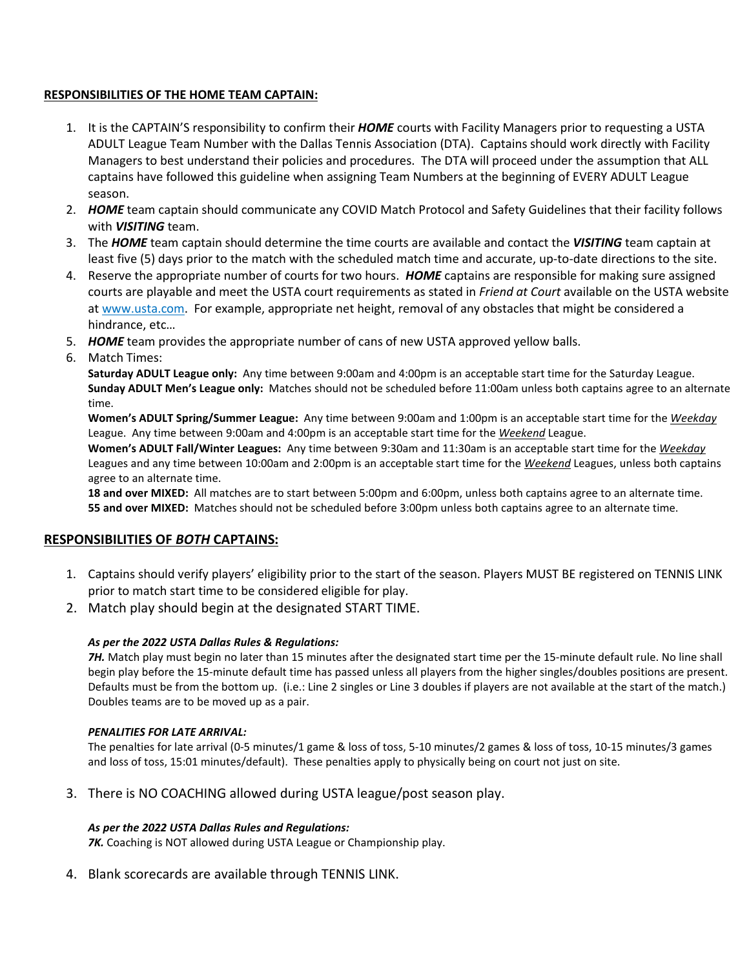## **RESPONSIBILITIES OF THE HOME TEAM CAPTAIN:**

- 1. It is the CAPTAIN'S responsibility to confirm their *HOME* courts with Facility Managers prior to requesting a USTA ADULT League Team Number with the Dallas Tennis Association (DTA). Captains should work directly with Facility Managers to best understand their policies and procedures. The DTA will proceed under the assumption that ALL captains have followed this guideline when assigning Team Numbers at the beginning of EVERY ADULT League season.
- 2. *HOME* team captain should communicate any COVID Match Protocol and Safety Guidelines that their facility follows with *VISITING* team.
- 3. The *HOME* team captain should determine the time courts are available and contact the *VISITING* team captain at least five (5) days prior to the match with the scheduled match time and accurate, up-to-date directions to the site.
- 4. Reserve the appropriate number of courts for two hours. *HOME* captains are responsible for making sure assigned courts are playable and meet the USTA court requirements as stated in *Friend at Court* available on the USTA website at www.usta.com. For example, appropriate net height, removal of any obstacles that might be considered a hindrance, etc…
- 5. *HOME* team provides the appropriate number of cans of new USTA approved yellow balls.
- 6. Match Times:

**Saturday ADULT League only:** Any time between 9:00am and 4:00pm is an acceptable start time for the Saturday League. **Sunday ADULT Men's League only:** Matches should not be scheduled before 11:00am unless both captains agree to an alternate time.

**Women's ADULT Spring/Summer League:** Any time between 9:00am and 1:00pm is an acceptable start time for the *Weekday* League. Any time between 9:00am and 4:00pm is an acceptable start time for the *Weekend* League.

**Women's ADULT Fall/Winter Leagues:** Any time between 9:30am and 11:30am is an acceptable start time for the *Weekday* Leagues and any time between 10:00am and 2:00pm is an acceptable start time for the *Weekend* Leagues, unless both captains agree to an alternate time.

**18 and over MIXED:** All matches are to start between 5:00pm and 6:00pm, unless both captains agree to an alternate time. **55 and over MIXED:** Matches should not be scheduled before 3:00pm unless both captains agree to an alternate time.

## **RESPONSIBILITIES OF** *BOTH* **CAPTAINS:**

- 1. Captains should verify players' eligibility prior to the start of the season. Players MUST BE registered on TENNIS LINK prior to match start time to be considered eligible for play.
- 2. Match play should begin at the designated START TIME.

## *As per the 2022 USTA Dallas Rules & Regulations:*

*7H.* Match play must begin no later than 15 minutes after the designated start time per the 15-minute default rule. No line shall begin play before the 15-minute default time has passed unless all players from the higher singles/doubles positions are present. Defaults must be from the bottom up. (i.e.: Line 2 singles or Line 3 doubles if players are not available at the start of the match.) Doubles teams are to be moved up as a pair.

## *PENALITIES FOR LATE ARRIVAL:*

The penalties for late arrival (0-5 minutes/1 game & loss of toss, 5-10 minutes/2 games & loss of toss, 10-15 minutes/3 games and loss of toss, 15:01 minutes/default). These penalties apply to physically being on court not just on site.

3. There is NO COACHING allowed during USTA league/post season play.

## *As per the 2022 USTA Dallas Rules and Regulations:*

*7K.* Coaching is NOT allowed during USTA League or Championship play.

4. Blank scorecards are available through TENNIS LINK.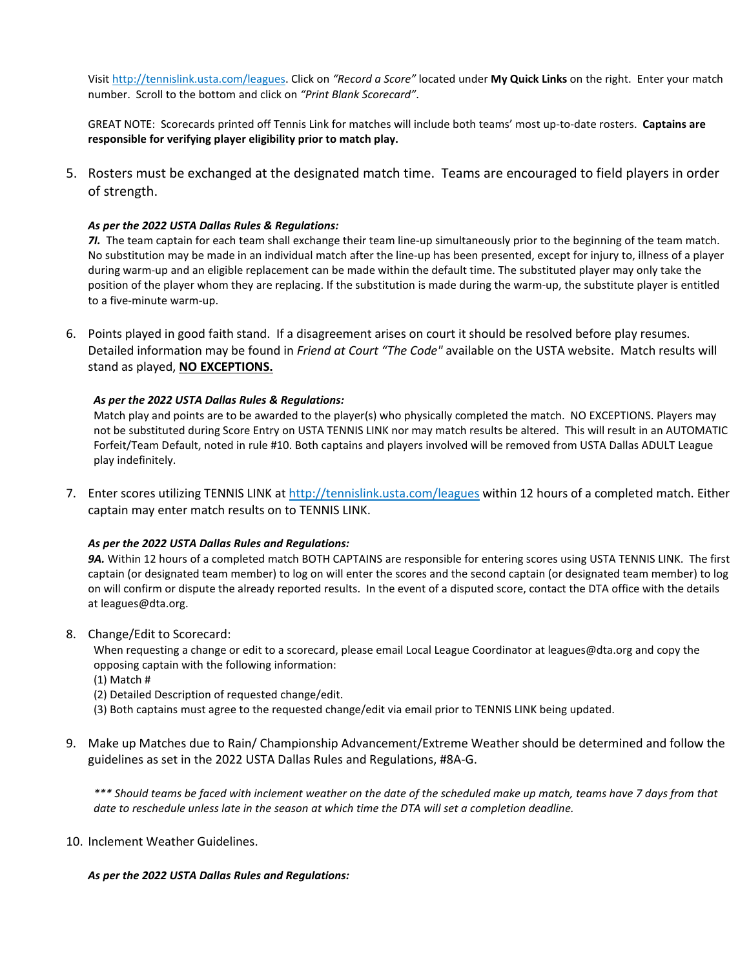Visit [http://tennislink.usta.com/leagues.](http://tennislink.usta.com/leagues) Click on *"Record a Score"* located under **My Quick Links** on the right. Enter your match number. Scroll to the bottom and click on *"Print Blank Scorecard"*.

GREAT NOTE: Scorecards printed off Tennis Link for matches will include both teams' most up-to-date rosters. **Captains are responsible for verifying player eligibility prior to match play.**

5. Rosters must be exchanged at the designated match time. Teams are encouraged to field players in order of strength.

#### *As per the 2022 USTA Dallas Rules & Regulations:*

*7I.* The team captain for each team shall exchange their team line-up simultaneously prior to the beginning of the team match. No substitution may be made in an individual match after the line-up has been presented, except for injury to, illness of a player during warm-up and an eligible replacement can be made within the default time. The substituted player may only take the position of the player whom they are replacing. If the substitution is made during the warm-up, the substitute player is entitled to a five-minute warm-up.

6. Points played in good faith stand. If a disagreement arises on court it should be resolved before play resumes. Detailed information may be found in *Friend at Court "The Code"* available on the USTA website. Match results will stand as played, **NO EXCEPTIONS.**

#### *As per the 2022 USTA Dallas Rules & Regulations:*

Match play and points are to be awarded to the player(s) who physically completed the match. NO EXCEPTIONS. Players may not be substituted during Score Entry on USTA TENNIS LINK nor may match results be altered. This will result in an AUTOMATIC Forfeit/Team Default, noted in rule #10. Both captains and players involved will be removed from USTA Dallas ADULT League play indefinitely.

7. Enter scores utilizing TENNIS LINK at<http://tennislink.usta.com/leagues> within 12 hours of a completed match. Either captain may enter match results on to TENNIS LINK.

#### *As per the 2022 USTA Dallas Rules and Regulations:*

*9A.* Within 12 hours of a completed match BOTH CAPTAINS are responsible for entering scores using USTA TENNIS LINK. The first captain (or designated team member) to log on will enter the scores and the second captain (or designated team member) to log on will confirm or dispute the already reported results. In the event of a disputed score, contact the DTA office with the details at leagues@dta.org.

8. Change/Edit to Scorecard:

When requesting a change or edit to a scorecard, please email Local League Coordinator at leagues@dta.org and copy the opposing captain with the following information:

- (1) Match #
- (2) Detailed Description of requested change/edit.
- (3) Both captains must agree to the requested change/edit via email prior to TENNIS LINK being updated.
- 9. Make up Matches due to Rain/ Championship Advancement/Extreme Weather should be determined and follow the guidelines as set in the 2022 USTA Dallas Rules and Regulations, #8A-G.

*\*\*\* Should teams be faced with inclement weather on the date of the scheduled make up match, teams have 7 days from that date to reschedule unless late in the season at which time the DTA will set a completion deadline.*

10. Inclement Weather Guidelines.

#### *As per the 2022 USTA Dallas Rules and Regulations:*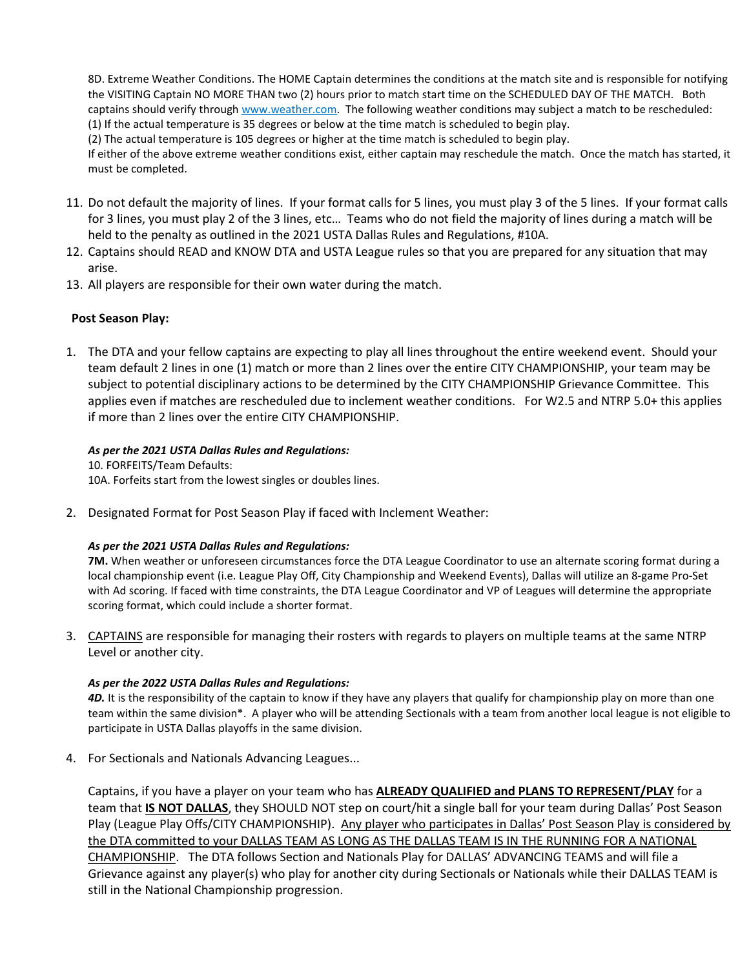8D. Extreme Weather Conditions. The HOME Captain determines the conditions at the match site and is responsible for notifying the VISITING Captain NO MORE THAN two (2) hours prior to match start time on the SCHEDULED DAY OF THE MATCH. Both captains should verify through www.weather.com. The following weather conditions may subject a match to be rescheduled: (1) If the actual temperature is 35 degrees or below at the time match is scheduled to begin play.

(2) The actual temperature is 105 degrees or higher at the time match is scheduled to begin play.

If either of the above extreme weather conditions exist, either captain may reschedule the match. Once the match has started, it must be completed.

- 11. Do not default the majority of lines. If your format calls for 5 lines, you must play 3 of the 5 lines. If your format calls for 3 lines, you must play 2 of the 3 lines, etc… Teams who do not field the majority of lines during a match will be held to the penalty as outlined in the 2021 USTA Dallas Rules and Regulations, #10A.
- 12. Captains should READ and KNOW DTA and USTA League rules so that you are prepared for any situation that may arise.
- 13. All players are responsible for their own water during the match.

## **Post Season Play:**

1. The DTA and your fellow captains are expecting to play all lines throughout the entire weekend event. Should your team default 2 lines in one (1) match or more than 2 lines over the entire CITY CHAMPIONSHIP, your team may be subject to potential disciplinary actions to be determined by the CITY CHAMPIONSHIP Grievance Committee. This applies even if matches are rescheduled due to inclement weather conditions. For W2.5 and NTRP 5.0+ this applies if more than 2 lines over the entire CITY CHAMPIONSHIP.

#### *As per the 2021 USTA Dallas Rules and Regulations:*

10. FORFEITS/Team Defaults: 10A. Forfeits start from the lowest singles or doubles lines.

2. Designated Format for Post Season Play if faced with Inclement Weather:

#### *As per the 2021 USTA Dallas Rules and Regulations:*

**7M.** When weather or unforeseen circumstances force the DTA League Coordinator to use an alternate scoring format during a local championship event (i.e. League Play Off, City Championship and Weekend Events), Dallas will utilize an 8-game Pro-Set with Ad scoring. If faced with time constraints, the DTA League Coordinator and VP of Leagues will determine the appropriate scoring format, which could include a shorter format.

3. CAPTAINS are responsible for managing their rosters with regards to players on multiple teams at the same NTRP Level or another city.

#### *As per the 2022 USTA Dallas Rules and Regulations:*

**4D.** It is the responsibility of the captain to know if they have any players that qualify for championship play on more than one team within the same division\*. A player who will be attending Sectionals with a team from another local league is not eligible to participate in USTA Dallas playoffs in the same division.

4. For Sectionals and Nationals Advancing Leagues...

Captains, if you have a player on your team who has **ALREADY QUALIFIED and PLANS TO REPRESENT/PLAY** for a team that **IS NOT DALLAS**, they SHOULD NOT step on court/hit a single ball for your team during Dallas' Post Season Play (League Play Offs/CITY CHAMPIONSHIP). Any player who participates in Dallas' Post Season Play is considered by the DTA committed to your DALLAS TEAM AS LONG AS THE DALLAS TEAM IS IN THE RUNNING FOR A NATIONAL CHAMPIONSHIP. The DTA follows Section and Nationals Play for DALLAS' ADVANCING TEAMS and will file a Grievance against any player(s) who play for another city during Sectionals or Nationals while their DALLAS TEAM is still in the National Championship progression.